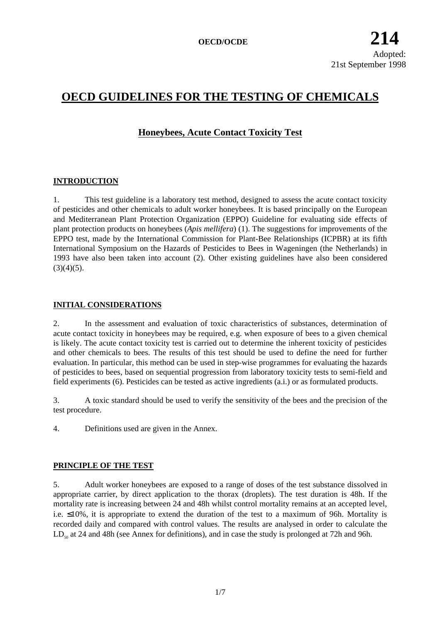# **OECD GUIDELINES FOR THE TESTING OF CHEMICALS**

# **Honeybees, Acute Contact Toxicity Test**

# **INTRODUCTION**

1. This test guideline is a laboratory test method, designed to assess the acute contact toxicity of pesticides and other chemicals to adult worker honeybees. It is based principally on the European and Mediterranean Plant Protection Organization (EPPO) Guideline for evaluating side effects of plant protection products on honeybees (*Apis mellifera*) (1). The suggestions for improvements of the EPPO test, made by the International Commission for Plant-Bee Relationships (ICPBR) at its fifth International Symposium on the Hazards of Pesticides to Bees in Wageningen (the Netherlands) in 1993 have also been taken into account (2). Other existing guidelines have also been considered  $(3)(4)(5)$ .

# **INITIAL CONSIDERATIONS**

2. In the assessment and evaluation of toxic characteristics of substances, determination of acute contact toxicity in honeybees may be required, e.g. when exposure of bees to a given chemical is likely. The acute contact toxicity test is carried out to determine the inherent toxicity of pesticides and other chemicals to bees. The results of this test should be used to define the need for further evaluation. In particular, this method can be used in step-wise programmes for evaluating the hazards of pesticides to bees, based on sequential progression from laboratory toxicity tests to semi-field and field experiments (6). Pesticides can be tested as active ingredients (a.i.) or as formulated products.

3. A toxic standard should be used to verify the sensitivity of the bees and the precision of the test procedure.

4. Definitions used are given in the Annex.

# **PRINCIPLE OF THE TEST**

5. Adult worker honeybees are exposed to a range of doses of the test substance dissolved in appropriate carrier, by direct application to the thorax (droplets). The test duration is 48h. If the mortality rate is increasing between 24 and 48h whilst control mortality remains at an accepted level, i.e. ≤10%, it is appropriate to extend the duration of the test to a maximum of 96h. Mortality is recorded daily and compared with control values. The results are analysed in order to calculate the  $LD_{50}$  at 24 and 48h (see Annex for definitions), and in case the study is prolonged at 72h and 96h.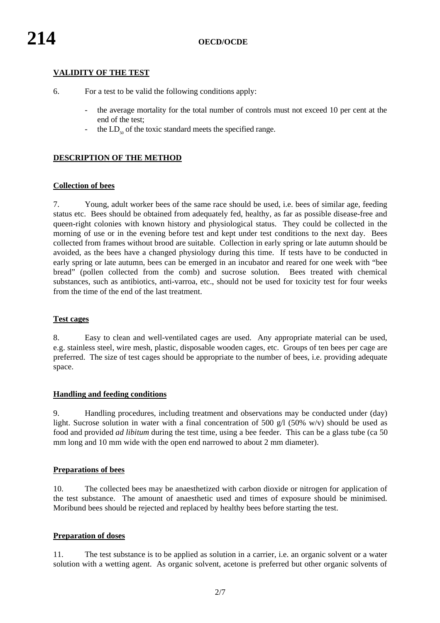# **VALIDITY OF THE TEST**

- 6. For a test to be valid the following conditions apply:
	- the average mortality for the total number of controls must not exceed 10 per cent at the end of the test;
	- the  $LD_{50}$  of the toxic standard meets the specified range.

# **DESCRIPTION OF THE METHOD**

### **Collection of bees**

7. Young, adult worker bees of the same race should be used, i.e. bees of similar age, feeding status etc. Bees should be obtained from adequately fed, healthy, as far as possible disease-free and queen-right colonies with known history and physiological status. They could be collected in the morning of use or in the evening before test and kept under test conditions to the next day. Bees collected from frames without brood are suitable. Collection in early spring or late autumn should be avoided, as the bees have a changed physiology during this time. If tests have to be conducted in early spring or late autumn, bees can be emerged in an incubator and reared for one week with "bee bread" (pollen collected from the comb) and sucrose solution. Bees treated with chemical substances, such as antibiotics, anti-varroa, etc., should not be used for toxicity test for four weeks from the time of the end of the last treatment.

#### **Test cages**

8. Easy to clean and well-ventilated cages are used. Any appropriate material can be used, e.g. stainless steel, wire mesh, plastic, disposable wooden cages, etc. Groups of ten bees per cage are preferred. The size of test cages should be appropriate to the number of bees, i.e. providing adequate space.

#### **Handling and feeding conditions**

9. Handling procedures, including treatment and observations may be conducted under (day) light. Sucrose solution in water with a final concentration of 500 g/l (50% w/v) should be used as food and provided *ad libitum* during the test time, using a bee feeder. This can be a glass tube (ca 50 mm long and 10 mm wide with the open end narrowed to about 2 mm diameter).

# **Preparations of bees**

10. The collected bees may be anaesthetized with carbon dioxide or nitrogen for application of the test substance. The amount of anaesthetic used and times of exposure should be minimised. Moribund bees should be rejected and replaced by healthy bees before starting the test.

#### **Preparation of doses**

11. The test substance is to be applied as solution in a carrier, i.e. an organic solvent or a water solution with a wetting agent. As organic solvent, acetone is preferred but other organic solvents of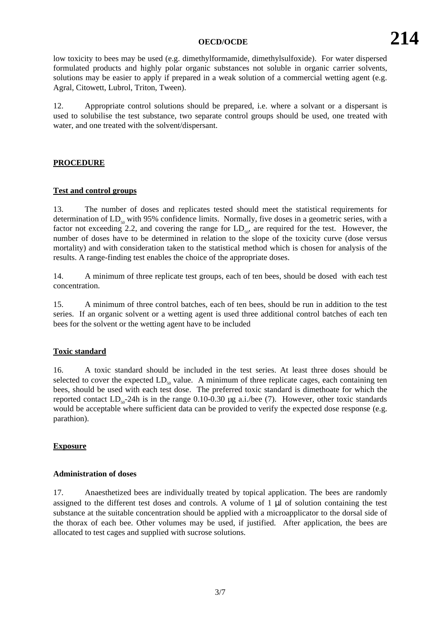low toxicity to bees may be used (e.g. dimethylformamide, dimethylsulfoxide). For water dispersed formulated products and highly polar organic substances not soluble in organic carrier solvents, solutions may be easier to apply if prepared in a weak solution of a commercial wetting agent (e.g. Agral, Citowett, Lubrol, Triton, Tween).

12. Appropriate control solutions should be prepared, i.e. where a solvant or a dispersant is used to solubilise the test substance, two separate control groups should be used, one treated with water, and one treated with the solvent/dispersant.

# **PROCEDURE**

### **Test and control groups**

13. The number of doses and replicates tested should meet the statistical requirements for determination of  $LD_{so}$  with 95% confidence limits. Normally, five doses in a geometric series, with a factor not exceeding 2.2, and covering the range for  $LD_{50}$ , are required for the test. However, the number of doses have to be determined in relation to the slope of the toxicity curve (dose versus mortality) and with consideration taken to the statistical method which is chosen for analysis of the results. A range-finding test enables the choice of the appropriate doses.

14. A minimum of three replicate test groups, each of ten bees, should be dosed with each test concentration.

15. A minimum of three control batches, each of ten bees, should be run in addition to the test series. If an organic solvent or a wetting agent is used three additional control batches of each ten bees for the solvent or the wetting agent have to be included

# **Toxic standard**

16. A toxic standard should be included in the test series. At least three doses should be selected to cover the expected  $LD_{50}$  value. A minimum of three replicate cages, each containing ten bees, should be used with each test dose. The preferred toxic standard is dimethoate for which the reported contact  $LD_{50}$ -24h is in the range 0.10-0.30 µg a.i./bee (7). However, other toxic standards would be acceptable where sufficient data can be provided to verify the expected dose response (e.g. parathion).

# **Exposure**

#### **Administration of doses**

17. Anaesthetized bees are individually treated by topical application. The bees are randomly assigned to the different test doses and controls. A volume of  $1 \mu l$  of solution containing the test substance at the suitable concentration should be applied with a microapplicator to the dorsal side of the thorax of each bee. Other volumes may be used, if justified. After application, the bees are allocated to test cages and supplied with sucrose solutions.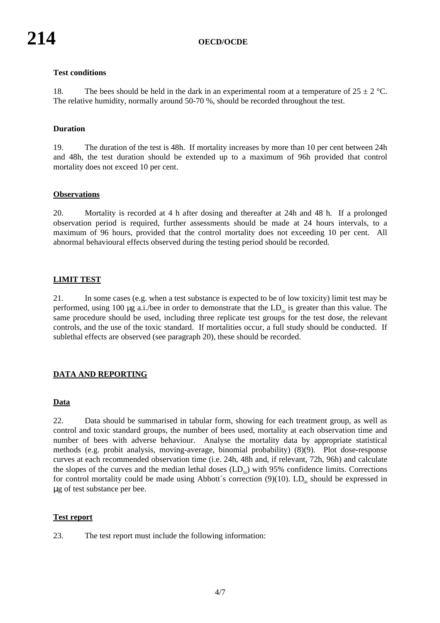# **Test conditions**

18. The bees should be held in the dark in an experimental room at a temperature of  $25 \pm 2$  °C. The relative humidity, normally around 50-70 %, should be recorded throughout the test.

### **Duration**

19. The duration of the test is 48h. If mortality increases by more than 10 per cent between 24h and 48h, the test duration should be extended up to a maximum of 96h provided that control mortality does not exceed 10 per cent.

#### **Observations**

20. Mortality is recorded at 4 h after dosing and thereafter at 24h and 48 h. If a prolonged observation period is required, further assessments should be made at 24 hours intervals, to a maximum of 96 hours, provided that the control mortality does not exceeding 10 per cent. All abnormal behavioural effects observed during the testing period should be recorded.

#### **LIMIT TEST**

21. In some cases (e.g. when a test substance is expected to be of low toxicity) limit test may be performed, using 100 µg a.i./bee in order to demonstrate that the  $LD_{50}$  is greater than this value. The same procedure should be used, including three replicate test groups for the test dose, the relevant controls, and the use of the toxic standard. If mortalities occur, a full study should be conducted. If sublethal effects are observed (see paragraph 20), these should be recorded.

# **DATA AND REPORTING**

### **Data**

22. Data should be summarised in tabular form, showing for each treatment group, as well as control and toxic standard groups, the number of bees used, mortality at each observation time and number of bees with adverse behaviour. Analyse the mortality data by appropriate statistical methods (e.g. probit analysis, moving-average, binomial probability) (8)(9). Plot dose-response curves at each recommended observation time (i.e. 24h, 48h and, if relevant, 72h, 96h) and calculate the slopes of the curves and the median lethal doses  $(LD<sub>50</sub>)$  with 95% confidence limits. Corrections for control mortality could be made using Abbott's correction  $(9)(10)$ . LD<sub>s0</sub> should be expressed in µg of test substance per bee.

#### **Test report**

23. The test report must include the following information: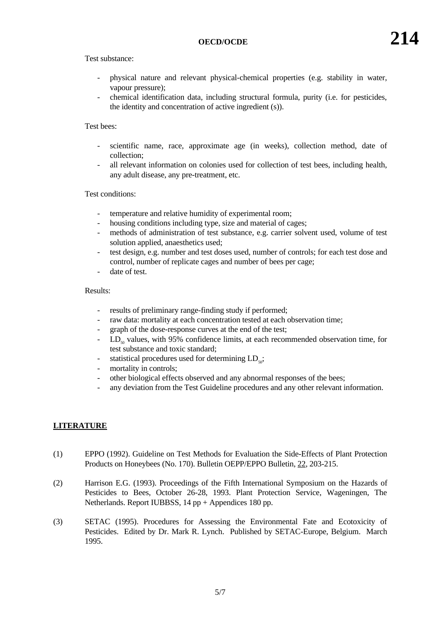- physical nature and relevant physical-chemical properties (e.g. stability in water, vapour pressure);
- chemical identification data, including structural formula, purity (i.e. for pesticides, the identity and concentration of active ingredient (s)).

### Test bees:

- scientific name, race, approximate age (in weeks), collection method, date of collection;
- all relevant information on colonies used for collection of test bees, including health, any adult disease, any pre-treatment, etc.

### Test conditions:

- temperature and relative humidity of experimental room;
- housing conditions including type, size and material of cages;
- methods of administration of test substance, e.g. carrier solvent used, volume of test solution applied, anaesthetics used;
- test design, e.g. number and test doses used, number of controls; for each test dose and control, number of replicate cages and number of bees per cage;
- date of test.

### Results:

- results of preliminary range-finding study if performed;
- raw data: mortality at each concentration tested at each observation time;
- graph of the dose-response curves at the end of the test;
- $LD<sub>so</sub>$  values, with 95% confidence limits, at each recommended observation time, for test substance and toxic standard;
- statistical procedures used for determining  $LD<sub>so</sub>$ ;
- mortality in controls;
- other biological effects observed and any abnormal responses of the bees;
- any deviation from the Test Guideline procedures and any other relevant information.

# **LITERATURE**

- (1) EPPO (1992). Guideline on Test Methods for Evaluation the Side-Effects of Plant Protection Products on Honeybees (No. 170). Bulletin OEPP/EPPO Bulletin, 22, 203-215.
- (2) Harrison E.G. (1993). Proceedings of the Fifth International Symposium on the Hazards of Pesticides to Bees, October 26-28, 1993. Plant Protection Service, Wageningen, The Netherlands. Report IUBBSS, 14 pp + Appendices 180 pp.
- (3) SETAC (1995). Procedures for Assessing the Environmental Fate and Ecotoxicity of Pesticides. Edited by Dr. Mark R. Lynch. Published by SETAC-Europe, Belgium. March 1995.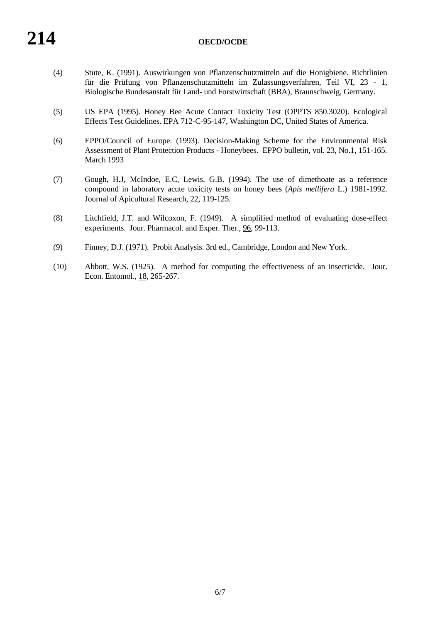- (4) Stute, K. (1991). Auswirkungen von Pflanzenschutzmitteln auf die Honigbiene. Richtlinien für die Prüfung von Pflanzenschutzmitteln im Zulassungsverfahren, Teil VI, 23 - 1, Biologische Bundesanstalt für Land- und Forstwirtschaft (BBA), Braunschweig, Germany.
- (5) US EPA (1995). Honey Bee Acute Contact Toxicity Test (OPPTS 850.3020). Ecological Effects Test Guidelines. EPA 712-C-95-147, Washington DC, United States of America.
- (6) EPPO/Council of Europe. (1993). Decision-Making Scheme for the Environmental Risk Assessment of Plant Protection Products - Honeybees. EPPO bulletin, vol. 23, No.1, 151-165. March 1993
- (7) Gough, H.J, McIndoe, E.C, Lewis, G.B. (1994). The use of dimethoate as a reference compound in laboratory acute toxicity tests on honey bees (*Apis mellifera* L.) 1981-1992. Journal of Apicultural Research, 22, 119-125.
- (8) Litchfield, J.T. and Wilcoxon, F. (1949). A simplified method of evaluating dose-effect experiments. Jour. Pharmacol. and Exper. Ther., 96, 99-113.
- (9) Finney, D.J. (1971). Probit Analysis. 3rd ed., Cambridge, London and New York.
- (10) Abbott, W.S. (1925). A method for computing the effectiveness of an insecticide. Jour. Econ. Entomol., 18, 265-267.